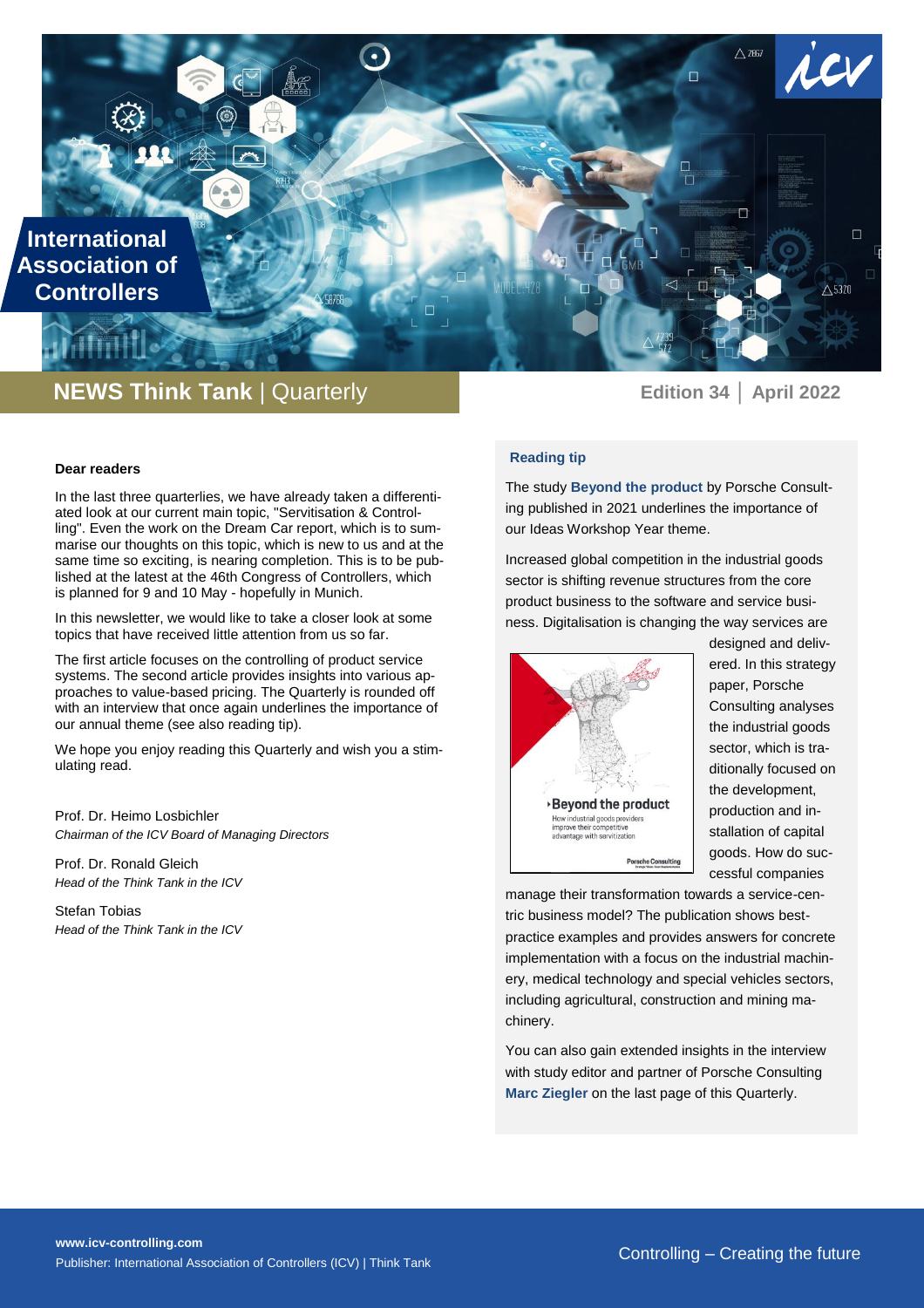**International Association of Controllers**

# **NEWS Think Tank** | Quarterly **Edition 34 Later 10222**

 $\widetilde{\phantom{a}}$ 

 $\Box$ 

 $\Box$ 

 $\triangle$  5320

 $\triangle$  2867

n

## **Reading tip**

The study **Beyond the product** by Porsche Consulting published in 2021 underlines the importance of our Ideas Workshop Year theme.

Increased global competition in the industrial goods sector is shifting revenue structures from the core product business to the software and service business. Digitalisation is changing the way services are



designed and delivered. In this strategy paper, Porsche Consulting analyses the industrial goods sector, which is traditionally focused on the development, production and installation of capital goods. How do successful companies

manage their transformation towards a service-centric business model? The publication shows bestpractice examples and provides answers for concrete implementation with a focus on the industrial machinery, medical technology and special vehicles sectors, including agricultural, construction and mining machinery.

You can also gain extended insights in the interview with study editor and partner of Porsche Consulting **Marc Ziegler** on the last page of this Quarterly.

#### **Dear readers**

In the last three quarterlies, we have already taken a differentiated look at our current main topic, "Servitisation & Controlling". Even the work on the Dream Car report, which is to summarise our thoughts on this topic, which is new to us and at the same time so exciting, is nearing completion. This is to be published at the latest at the 46th Congress of Controllers, which is planned for 9 and 10 May - hopefully in Munich.

In this newsletter, we would like to take a closer look at some topics that have received little attention from us so far.

The first article focuses on the controlling of product service systems. The second article provides insights into various approaches to value-based pricing. The Quarterly is rounded off with an interview that once again underlines the importance of our annual theme (see also reading tip).

We hope you enjoy reading this Quarterly and wish you a stimulating read.

Prof. Dr. Heimo Losbichler *Chairman of the ICV Board of Managing Directors*

Prof. Dr. Ronald Gleich *Head of the Think Tank in the ICV*

Stefan Tobias *Head of the Think Tank in the ICV*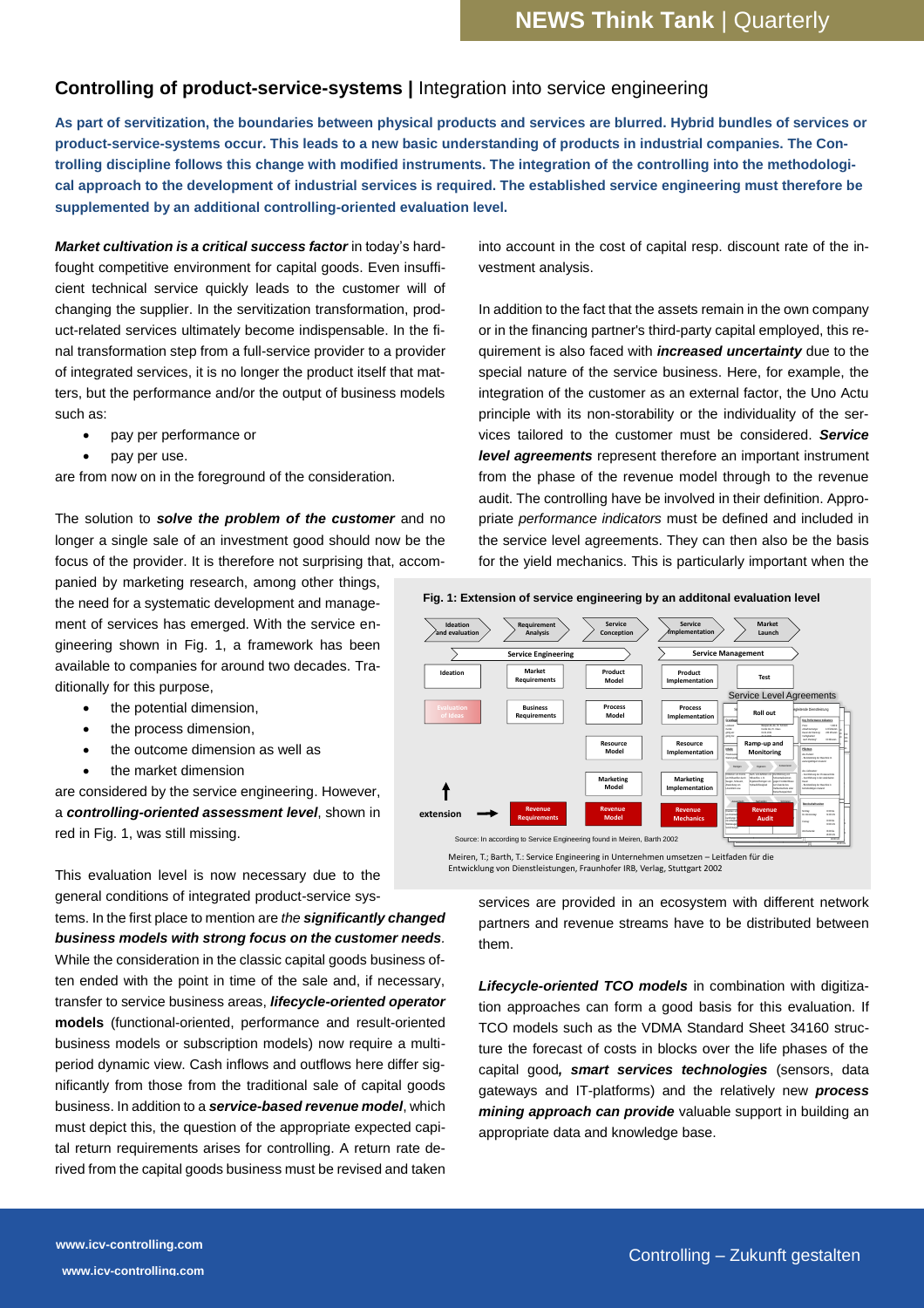## **Controlling of product-service-systems |** Integration into service engineering

**As part of servitization, the boundaries between physical products and services are blurred. Hybrid bundles of services or product-service-systems occur. This leads to a new basic understanding of products in industrial companies. The Controlling discipline follows this change with modified instruments. The integration of the controlling into the methodological approach to the development of industrial services is required. The established service engineering must therefore be supplemented by an additional controlling-oriented evaluation level.**

Market cultivation is a critical success factor in today's hardfought competitive environment for capital goods. Even insufficient technical service quickly leads to the customer will of changing the supplier. In the servitization transformation, product-related services ultimately become indispensable. In the final transformation step from a full-service provider to a provider of integrated services, it is no longer the product itself that matters, but the performance and/or the output of business models such as:

- pay per performance or
- pay per use.

are from now on in the foreground of the consideration.

The solution to *solve the problem of the customer* and no longer a single sale of an investment good should now be the focus of the provider. It is therefore not surprising that, accom-

panied by marketing research, among other things, the need for a systematic development and management of services has emerged. With the service engineering shown in Fig. 1, a framework has been available to companies for around two decades. Traditionally for this purpose,

- the potential dimension,
- the process dimension.
- the outcome dimension as well as
- the market dimension

are considered by the service engineering. However, a *controlling-oriented assessment level*, shown in red in Fig. 1, was still missing.

This evaluation level is now necessary due to the general conditions of integrated product-service sys-

tems. In the first place to mention are *the significantly changed business models with strong focus on the customer needs.* While the consideration in the classic capital goods business often ended with the point in time of the sale and, if necessary, transfer to service business areas, *lifecycle-oriented operator*  **models** (functional-oriented, performance and result-oriented business models or subscription models) now require a multiperiod dynamic view. Cash inflows and outflows here differ significantly from those from the traditional sale of capital goods business. In addition to a *service-based revenue model*, which must depict this, the question of the appropriate expected capital return requirements arises for controlling. A return rate derived from the capital goods business must be revised and taken

into account in the cost of capital resp. discount rate of the investment analysis.

In addition to the fact that the assets remain in the own company or in the financing partner's third-party capital employed, this requirement is also faced with *increased uncertainty* due to the special nature of the service business. Here, for example, the integration of the customer as an external factor, the Uno Actu principle with its non-storability or the individuality of the services tailored to the customer must be considered. *Service level agreements* represent therefore an important instrument from the phase of the revenue model through to the revenue audit. The controlling have be involved in their definition. Appropriate *performance indicators* must be defined and included in the service level agreements. They can then also be the basis for the yield mechanics. This is particularly important when the



**Fig. 1: Extension of service engineering by an additonal evaluation level**

Meiren, T.; Barth, T.: Service Engineering in Unternehmen umsetzen – Leitfaden für die Entwicklung von Dienstleistungen, Fraunhofer IRB, Verlag, Stuttgart 2002

services are provided in an ecosystem with different network partners and revenue streams have to be distributed between them.

*Lifecycle-oriented TCO models* in combination with digitization approaches can form a good basis for this evaluation. If TCO models such as the VDMA Standard Sheet 34160 structure the forecast of costs in blocks over the life phases of the capital good*, smart services technologies* (sensors, data gateways and IT-platforms) and the relatively new *process mining approach can provide* valuable support in building an appropriate data and knowledge base.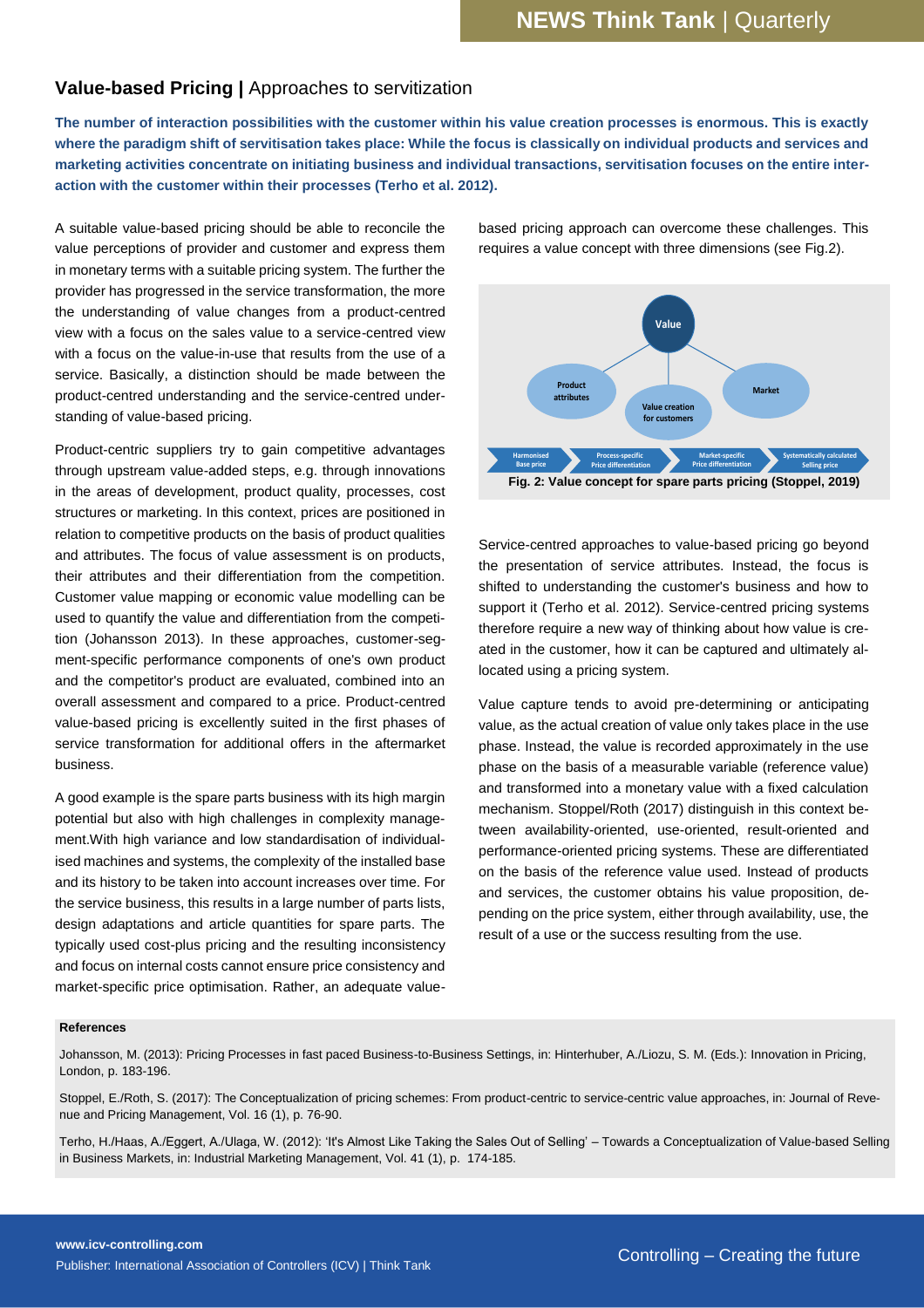## **Value-based Pricing |** Approaches to servitization

**The number of interaction possibilities with the customer within his value creation processes is enormous. This is exactly where the paradigm shift of servitisation takes place: While the focus is classically on individual products and services and marketing activities concentrate on initiating business and individual transactions, servitisation focuses on the entire interaction with the customer within their processes (Terho et al. 2012).** 

A suitable value-based pricing should be able to reconcile the value perceptions of provider and customer and express them in monetary terms with a suitable pricing system. The further the provider has progressed in the service transformation, the more the understanding of value changes from a product-centred view with a focus on the sales value to a service-centred view with a focus on the value-in-use that results from the use of a service. Basically, a distinction should be made between the product-centred understanding and the service-centred understanding of value-based pricing.

Product-centric suppliers try to gain competitive advantages through upstream value-added steps, e.g. through innovations in the areas of development, product quality, processes, cost structures or marketing. In this context, prices are positioned in relation to competitive products on the basis of product qualities and attributes. The focus of value assessment is on products, their attributes and their differentiation from the competition. Customer value mapping or economic value modelling can be used to quantify the value and differentiation from the competition (Johansson 2013). In these approaches, customer-segment-specific performance components of one's own product and the competitor's product are evaluated, combined into an overall assessment and compared to a price. Product-centred value-based pricing is excellently suited in the first phases of service transformation for additional offers in the aftermarket business.

A good example is the spare parts business with its high margin potential but also with high challenges in complexity management.With high variance and low standardisation of individualised machines and systems, the complexity of the installed base and its history to be taken into account increases over time. For the service business, this results in a large number of parts lists, design adaptations and article quantities for spare parts. The typically used cost-plus pricing and the resulting inconsistency and focus on internal costs cannot ensure price consistency and market-specific price optimisation. Rather, an adequate valuebased pricing approach can overcome these challenges. This requires a value concept with three dimensions (see Fig.2).



Service-centred approaches to value-based pricing go beyond the presentation of service attributes. Instead, the focus is shifted to understanding the customer's business and how to support it (Terho et al. 2012). Service-centred pricing systems therefore require a new way of thinking about how value is created in the customer, how it can be captured and ultimately allocated using a pricing system.

Value capture tends to avoid pre-determining or anticipating value, as the actual creation of value only takes place in the use phase. Instead, the value is recorded approximately in the use phase on the basis of a measurable variable (reference value) and transformed into a monetary value with a fixed calculation mechanism. Stoppel/Roth (2017) distinguish in this context between availability-oriented, use-oriented, result-oriented and performance-oriented pricing systems. These are differentiated on the basis of the reference value used. Instead of products and services, the customer obtains his value proposition, depending on the price system, either through availability, use, the result of a use or the success resulting from the use.

#### **References**

Johansson, M. (2013): Pricing Processes in fast paced Business-to-Business Settings, in: Hinterhuber, A./Liozu, S. M. (Eds.): Innovation in Pricing, London, p. 183-196.

Stoppel, E./Roth, S. (2017): The Conceptualization of pricing schemes: From product-centric to service-centric value approaches, in: Journal of Revenue and Pricing Management, Vol. 16 (1), p. 76-90.

Terho, H./Haas, A./Eggert, A./Ulaga, W. (2012): 'It's Almost Like Taking the Sales Out of Selling' – Towards a Conceptualization of Value-based Selling in Business Markets, in: Industrial Marketing Management, Vol. 41 (1), p. 174-185.